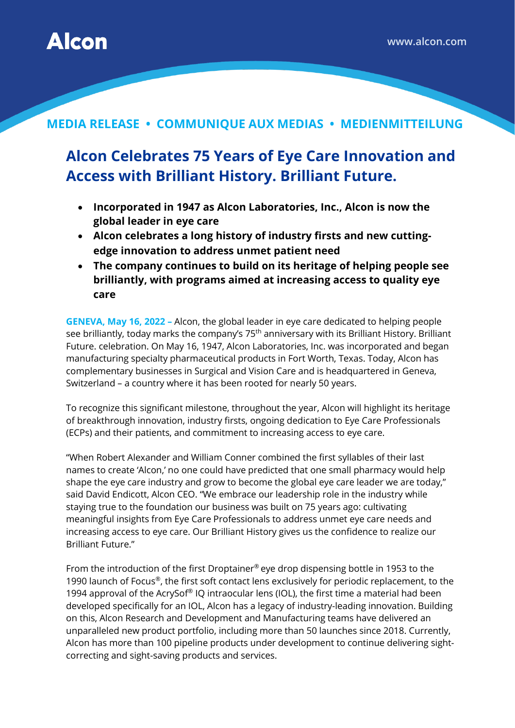

## **MEDIA RELEASE • COMMUNIQUE AUX MEDIAS • MEDIENMITTEILUNG**

## **Alcon Celebrates 75 Years of Eye Care Innovation and Access with Brilliant History. Brilliant Future.**

- **Incorporated in 1947 as Alcon Laboratories, Inc., Alcon is now the global leader in eye care**
- **Alcon celebrates a long history of industry firsts and new cuttingedge innovation to address unmet patient need**
- **The company continues to build on its heritage of helping people see brilliantly, with programs aimed at increasing access to quality eye care**

**GENEVA, May 16, 2022 –** Alcon, the global leader in eye care dedicated to helping people see brilliantly, today marks the company's 75<sup>th</sup> anniversary with its Brilliant History. Brilliant Future. celebration. On May 16, 1947, Alcon Laboratories, Inc. was incorporated and began manufacturing specialty pharmaceutical products in Fort Worth, Texas. Today, Alcon has complementary businesses in Surgical and Vision Care and is headquartered in Geneva, Switzerland – a country where it has been rooted for nearly 50 years.

To recognize this significant milestone, throughout the year, Alcon will highlight its heritage of breakthrough innovation, industry firsts, ongoing dedication to Eye Care Professionals (ECPs) and their patients, and commitment to increasing access to eye care.

"When Robert Alexander and William Conner combined the first syllables of their last names to create 'Alcon,' no one could have predicted that one small pharmacy would help shape the eye care industry and grow to become the global eye care leader we are today," said David Endicott, Alcon CEO. "We embrace our leadership role in the industry while staying true to the foundation our business was built on 75 years ago: cultivating meaningful insights from Eye Care Professionals to address unmet eye care needs and increasing access to eye care. Our Brilliant History gives us the confidence to realize our Brilliant Future."

From the introduction of the first Droptainer® eye drop dispensing bottle in 1953 to the 1990 launch of Focus®, the first soft contact lens exclusively for periodic replacement, to the 1994 approval of the AcrySof® IQ intraocular lens (IOL), the first time a material had been developed specifically for an IOL, Alcon has a legacy of industry-leading innovation. Building on this, Alcon Research and Development and Manufacturing teams have delivered an unparalleled new product portfolio, including more than 50 launches since 2018. Currently, Alcon has more than 100 pipeline products under development to continue delivering sightcorrecting and sight-saving products and services.